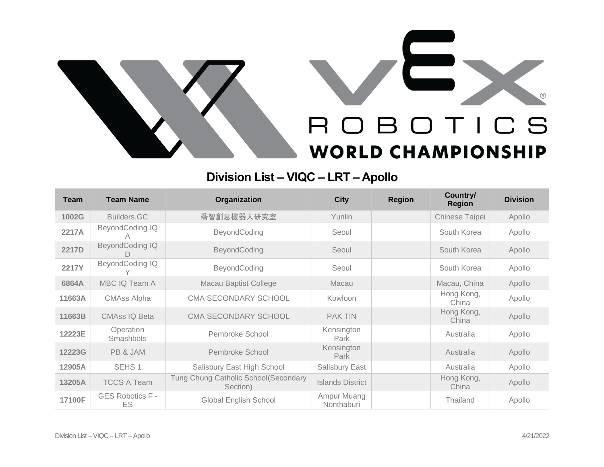

## **Division List – VIQC – LRT – Apollo**

| <b>Team</b>  | <b>Team Name</b>               | Organization                                      | <b>City</b>               | <b>Region</b> | Country/<br><b>Region</b> | <b>Division</b> |
|--------------|--------------------------------|---------------------------------------------------|---------------------------|---------------|---------------------------|-----------------|
| 1002G        | Builders.GC                    | 喬智創意機器人研究室                                        | Yunlin                    |               | Chinese Taipei            | Apollo          |
| 2217A        | BeyondCoding IQ                | BeyondCoding                                      | Seoul                     |               | South Korea               | Apollo          |
| 2217D        | BeyondCoding IQ                | BeyondCoding                                      | Seoul                     |               | South Korea               | Apollo          |
| <b>2217Y</b> | BeyondCoding IQ                | BeyondCoding                                      | Seoul                     |               | South Korea               | Apollo          |
| 6864A        | MBC IQ Team A                  | <b>Macau Baptist College</b>                      | Macau                     |               | Macau, China              | Apollo          |
| 11663A       | <b>CMAss Alpha</b>             | <b>CMA SECONDARY SCHOOL</b>                       | Kowloon                   |               | Hong Kong,<br>China       | Apollo          |
| 11663B       | <b>CMAss IQ Beta</b>           | CMA SECONDARY SCHOOL                              | <b>PAK TIN</b>            |               | Hong Kong,<br>China       | Apollo          |
| 12223E       | Operation<br>Smashbots         | Pembroke School                                   | Kensington<br>Park        |               | Australia                 | Apollo          |
| 12223G       | PB & JAM                       | Pembroke School                                   | Kensington<br>Park        |               | Australia                 | Apollo          |
| 12905A       | SEHS <sub>1</sub>              | Salisbury East High School                        | Salisbury East            |               | Australia                 | Apollo          |
| 13205A       | <b>TCCS A Team</b>             | Tung Chung Catholic School (Secondary<br>Section) | <b>Islands District</b>   |               | Hong Kong,<br>China       | Apollo          |
| 17100F       | <b>GES Robotics F -</b><br>ES. | <b>Global English School</b>                      | Ampur Muang<br>Nonthaburi |               | Thailand                  | Apollo          |